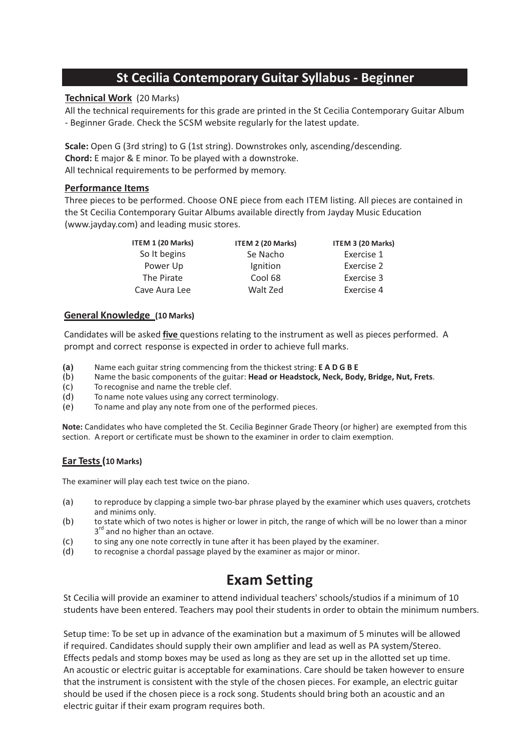# **St Cecilia Contemporary Guitar Syllabus - Beginner**

# **Technical Work** (20 Marks)

All the technical requirements for this grade are printed in the St Cecilia Contemporary Guitar Album - Beginner Grade. Check the SCSM website regularly for the latest update.

**Scale:** Open G (3rd string) to G (1st string). Downstrokes only, ascending/descending. **Chord:** E major & E minor. To be played with a downstroke. All technical requirements to be performed by memory.

# **Performance Items**

Three pieces to be performed. Choose ONE piece from each ITEM listing. All pieces are contained in the St Cecilia Contemporary Guitar Albums available directly from Jayday Music Education (www.jayday.com) and leading music stores.

| ITEM 1 (20 Marks) | ITEM 2 (20 Marks) | ITEM 3 (20 Marks) |
|-------------------|-------------------|-------------------|
| So It begins      | Se Nacho          | Exercise 1        |
| Power Up          | Ignition          | Exercise 2        |
| The Pirate        | Cool 68           | Exercise 3        |
| Cave Aura Lee     | Walt Zed          | Exercise 4        |

# **General Knowledge (10 Marks)**

Candidates will be asked **five** questions relating to the instrument as well as pieces performed. A prompt and correct response is expected in order to achieve full marks.

**(a)** Name each guitar string commencing from the thickest string: **EADGBE**

- (b) Name the basic components of the guitar: **Head or Headstock, Neck, Body, Bridge, Nut, Frets**.
- (c) To recognise and name the treble clef.
- (d) To name note values using any correct terminology.
- (e) To name and play any note from one of the performed pieces.

**Note:** Candidates who have completed the St. Cecilia Beginner Grade Theory (or higher) are exempted from this section. A report or certificate must be shown to the examiner in order to claim exemption.

### **Ear Tests (10 Marks)**

The examiner will play each test twice on the piano.

- (a) to reproduce by clapping a simple two-bar phrase played by the examiner which uses quavers, crotchets and minims only.
- (b) to state which of two notes is higher or lower in pitch, the range of which will be no lower than a minor 3<sup>rd</sup> and no higher than an octave.
- (c) to sing any one note correctly in tune after it has been played by the examiner.
- (d) to recognise a chordal passage played by the examiner as major or minor.

# **Exam Setting**

St Cecilia will provide an examiner to attend individual teachers' schools/studios if a minimum of 10 students have been entered. Teachers may pool their students in order to obtain the minimum numbers.

Setup time: To be set up in advance of the examination but a maximum of 5 minutes will be allowed if required. Candidates should supply their own amplifier and lead as well as PA system/Stereo. Effects pedals and stomp boxes may be used as long as they are set up in the allotted set up time. An acoustic or electric guitar is acceptable for examinations. Care should be taken however to ensure that the instrument is consistent with the style of the chosen pieces. For example, an electric guitar should be used if the chosen piece is a rock song. Students should bring both an acoustic and an electric guitar if their exam program requires both.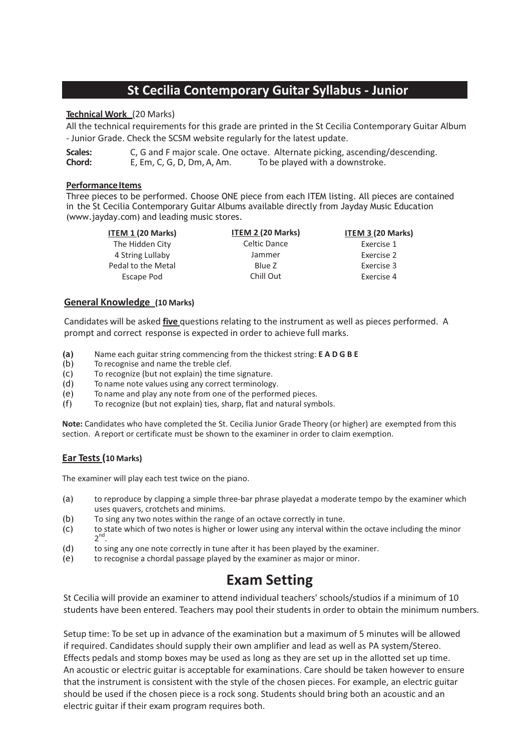# **Technical Work** (20 Marks)

All the technical requirements for this grade are printed in the St Cecilia Contemporary Guitar Album - Junior Grade. Check the SCSM website regularly for the latest update.

**Scales:** C, G and F major scale. One octave. Alternate picking, ascending/descending. **Chord:** E, Em, C, G, D, Dm, A, Am. To be played with a downstroke.

#### **Performance Items**

Three pieces to be performed. Choose ONE piece from each ITEM listing. All pieces are contained in the St Cecilia Contemporary Guitar Albums available directly from Jayday Music Education (www.jayday.com) and leading music stores.

| <b>ITEM 2 (20 Marks)</b> | ITEM 3 (20 Marks) |
|--------------------------|-------------------|
| Celtic Dance             | Exercise 1        |
| Jammer                   | Exercise 2        |
| Blue 7                   | Exercise 3        |
| Chill Out                | Exercise 4        |
|                          |                   |

### **General Knowledge (10 Marks)**

Candidates will be asked **five** questions relating to the instrument as well as pieces performed. A prompt and correct response is expected in order to achieve full marks.

- **(a)** Name each guitar string commencing from the thickest string: **EADGBE**
- (b) To recognise and name the treble clef.
- (c) To recognize (but not explain) the time signature.
- (d) To name note values using any correct terminology.
- (e) To name and play any note from one of the performed pieces.
- (f) To recognize (but not explain) ties, sharp, flat and natural symbols.

**Note:** Candidates who have completed the St. Cecilia Junior Grade Theory (or higher) are exempted from this section. A report or certificate must be shown to the examiner in order to claim exemption.

### **Ear Tests (10 Marks)**

The examiner will play each test twice on the piano.

- (a) to reproduce by clapping a simple three-bar phrase playedat a moderate tempo by the examiner which uses quavers, crotchets and minims.
- (b) To sing any two notes within the range of an octave correctly in tune.
- (c) to state which of two notes is higher or lower using any interval within the octave including the minor 2 nd.
- (d) to sing any one note correctly in tune after it has been played by the examiner.
- (e) to recognise a chordal passage played by the examiner as major or minor.

# **Exam Setting**

St Cecilia will provide an examiner to attend individual teachers' schools/studios if a minimum of 10 students have been entered. Teachers may pool their students in order to obtain the minimum numbers.

Setup time: To be set up in advance of the examination but a maximum of 5 minutes will be allowed if required. Candidates should supply their own amplifier and lead as well as PA system/Stereo. Effects pedals and stomp boxes may be used as long as they are set up in the allotted set up time. An acoustic or electric guitar is acceptable for examinations. Care should be taken however to ensure that the instrument is consistent with the style of the chosen pieces. For example, an electric guitar should be used if the chosen piece is a rock song. Students should bring both an acoustic and an electric guitar if their exam program requires both.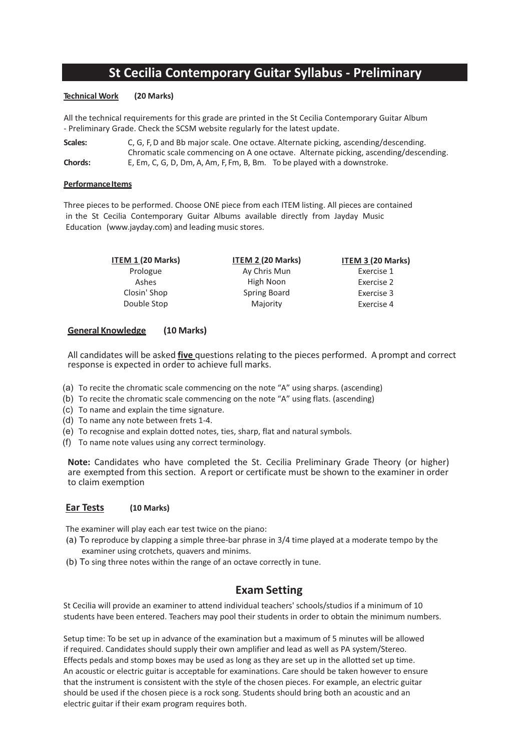# **St Cecilia Contemporary Guitar Syllabus - Preliminary**

#### **Technical Work (20 Marks)**

All the technical requirements for this grade are printed in the St Cecilia Contemporary Guitar Album - Preliminary Grade. Check the SCSM website regularly for the latest update.

| Scales:        | C, G, F, D and Bb major scale. One octave. Alternate picking, ascending/descending.  |  |  |
|----------------|--------------------------------------------------------------------------------------|--|--|
|                | Chromatic scale commencing on A one octave. Alternate picking, ascending/descending. |  |  |
| <b>Chords:</b> | E, Em, C, G, D, Dm, A, Am, F, Fm, B, Bm. To be played with a downstroke.             |  |  |

#### **Performance Items**

Three pieces to be performed. Choose ONE piece from each ITEM listing. All pieces are contained in the St Cecilia Contemporary Guitar Albums available directly from Jayday Music Education (www.jayday.com) and leading music stores.

> **ITEM 1 (20 Marks)** Prologue Ashes Closin' Shop Double Stop

**ITEM 2 (20 Marks)** Ay Chris Mun High Noon Spring Board Majority

**ITEM 3 (20 Marks)** Exercise 1 Exercise 2 Exercise 3 Exercise 4

#### **General Knowledge (10 Marks)**

All candidates will be asked **five** questions relating to the pieces performed. A prompt and correct response is expected in order to achieve full marks.

- (a) To recite the chromatic scale commencing on the note "A" using sharps. (ascending)
- (b) To recite the chromatic scale commencing on the note "A" using flats. (ascending)
- (c) To name and explain the time signature.
- (d) To name any note between frets 1-4.
- (e) To recognise and explain dotted notes, ties, sharp, flat and natural symbols.
- (f) To name note values using any correct terminology.

**Note:** Candidates who have completed the St. Cecilia Preliminary Grade Theory (or higher) are exempted from this section. A report or certificate must be shown to the examiner in order to claim exemption

### **Ear Tests (10 Marks)**

The examiner will play each ear test twice on the piano:

- (a) To reproduce by clapping a simple three-bar phrase in 3/4 time played at a moderate tempo by the examiner using crotchets, quavers and minims.
- (b) To sing three notes within the range of an octave correctly in tune.

# **Exam Setting**

St Cecilia will provide an examiner to attend individual teachers' schools/studios if a minimum of 10 students have been entered. Teachers may pool their students in order to obtain the minimum numbers.

Setup time: To be set up in advance of the examination but a maximum of 5 minutes will be allowed if required. Candidates should supply their own amplifier and lead as well as PA system/Stereo. Effects pedals and stomp boxes may be used as long as they are set up in the allotted set up time. An acoustic or electric guitar is acceptable for examinations. Care should be taken however to ensure that the instrument is consistent with the style of the chosen pieces. For example, an electric guitar should be used if the chosen piece is a rock song. Students should bring both an acoustic and an electric guitar if their exam program requires both.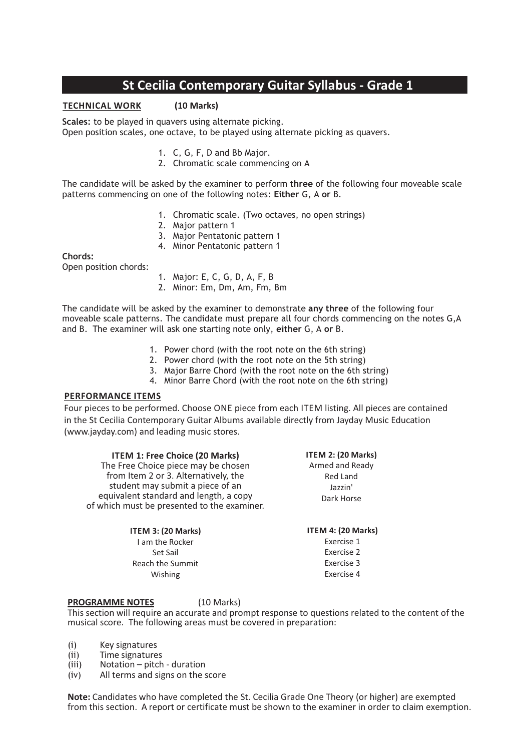**TECHNICAL WORK (10 Marks)**

**Scales:** to be played in quavers using alternate picking. Open position scales, one octave, to be played using alternate picking as quavers.

- 1. C, G, F, D and Bb Major.
- 2. Chromatic scale commencing on A

The candidate will be asked by the examiner to perform **three** of the following four moveable scale patterns commencing on one of the following notes: **Either** G, A **or** B.

- 1. Chromatic scale. (Two octaves, no open strings)
- 2. Major pattern 1
- 3. Major Pentatonic pattern 1
- 4. Minor Pentatonic pattern 1

**Chords:**

Open position chords:

- 1. Major: E, C, G, D, A, F, B
- 2. Minor: Em, Dm, Am, Fm, Bm

The candidate will be asked by the examiner to demonstrate **any three** of the following four moveable scale patterns. The candidate must prepare all four chords commencing on the notes G,A and B. The examiner will ask one starting note only, **either** G, A **or** B.

- 1. Power chord (with the root note on the 6th string)
- 2. Power chord (with the root note on the 5th string)
- 3. Major Barre Chord (with the root note on the 6th string)
- 4. Minor Barre Chord (with the root note on the 6th string)

### **PERFORMANCE ITEMS**

Four pieces to be performed. Choose ONE piece from each ITEM listing. All pieces are contained in the St Cecilia Contemporary Guitar Albums available directly from Jayday Music Education (www.jayday.com) and leading music stores.

| <b>ITEM 1: Free Choice (20 Marks)</b>                                                 | <b>ITEM 2: (20 Marks)</b> |
|---------------------------------------------------------------------------------------|---------------------------|
| The Free Choice piece may be chosen                                                   | Armed and Ready           |
| from Item 2 or 3. Alternatively, the                                                  | <b>Red Land</b>           |
| student may submit a piece of an                                                      | Jazzin'<br>Dark Horse     |
| equivalent standard and length, a copy<br>of which must be presented to the examiner. |                           |
| ITEM 3: (20 Marks)                                                                    | ITEM 4: (20 Marks)        |
| Lam the Rocker                                                                        | Exercise 1                |

I am the Rocker Set Sail Reach the Summit Wishing

**PROGRAMME NOTES** (10 Marks)

This section will require an accurate and prompt response to questions related to the content of the musical score. The following areas must be covered in preparation:

Exercise 2 Exercise 3 Exercise 4

- (i) Key signatures
- (ii) Time signatures
- (iii) Notation pitch duration
- (iv) All terms and signs on the score

**Note:** Candidates who have completed the St. Cecilia Grade One Theory (or higher) are exempted from this section. A report or certificate must be shown to the examiner in order to claim exemption.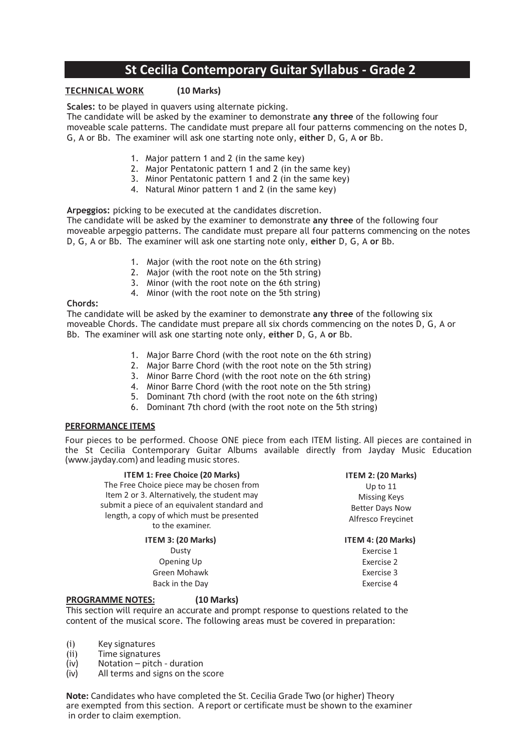# **TECHNICAL WORK (10 Marks)**

**Scales:** to be played in quavers using alternate picking.

The candidate will be asked by the examiner to demonstrate **any three** of the following four moveable scale patterns. The candidate must prepare all four patterns commencing on the notes D, G, A or Bb. The examiner will ask one starting note only, **either** D, G, A **or** Bb.

- 1. Major pattern 1 and 2 (in the same key)
- 2. Major Pentatonic pattern 1 and 2 (in the same key)
- 3. Minor Pentatonic pattern 1 and 2 (in the same key)
- 4. Natural Minor pattern 1 and 2 (in the same key)

**Arpeggios:** picking to be executed at the candidates discretion.

The candidate will be asked by the examiner to demonstrate **any three** of the following four moveable arpeggio patterns. The candidate must prepare all four patterns commencing on the notes D, G, A or Bb. The examiner will ask one starting note only, **either** D, G, A **or** Bb.

- 1. Major (with the root note on the 6th string)
- 2. Major (with the root note on the 5th string)
- 3. Minor (with the root note on the 6th string)
- 4. Minor (with the root note on the 5th string)

### **Chords:**

The candidate will be asked by the examiner to demonstrate **any three** of the following six moveable Chords. The candidate must prepare all six chords commencing on the notes D, G, A or Bb. The examiner will ask one starting note only, **either** D, G, A **or** Bb.

- 1. Major Barre Chord (with the root note on the 6th string)
- 2. Major Barre Chord (with the root note on the 5th string)
- 3. Minor Barre Chord (with the root note on the 6th string)
- 4. Minor Barre Chord (with the root note on the 5th string)
- 5. Dominant 7th chord (with the root note on the 6th string)
- 6. Dominant 7th chord (with the root note on the 5th string)

### **PERFORMANCE ITEMS**

Four pieces to be performed. Choose ONE piece from each ITEM listing. All pieces are contained in the St Cecilia Contemporary Guitar Albums available directly from Jayday Music Education (www.jayday.com) and leading music stores.

| <b>ITEM 1: Free Choice (20 Marks)</b>                         | ITEM 2: (20 Marks)     |
|---------------------------------------------------------------|------------------------|
| The Free Choice piece may be chosen from                      | Up to $11$             |
| Item 2 or 3. Alternatively, the student may                   | <b>Missing Keys</b>    |
| submit a piece of an equivalent standard and                  | <b>Better Days Now</b> |
| length, a copy of which must be presented<br>to the examiner. | Alfresco Freycinet     |
| ITEM 3: (20 Marks)                                            | ITEM 4: (20 Marks)     |
| Dusty                                                         | Exercise 1             |
| Opening Up                                                    | Exercise 2             |
| Green Mohawk                                                  | Exercise 3             |
| Back in the Day                                               | Exercise 4             |
| (10 Marks)<br><b>PROGRAMME NOTES:</b>                         |                        |

This section will require an accurate and prompt response to questions related to the content of the musical score. The following areas must be covered in preparation:

- (i) Key signatures<br>(ii) Time signature
- Time signatures
- (iv) Notation pitch duration
- (iv) All terms and signs on the score

**Note:** Candidates who have completed the St. Cecilia Grade Two (or higher) Theory are exempted from this section. A report or certificate must be shown to the examiner in order to claim exemption.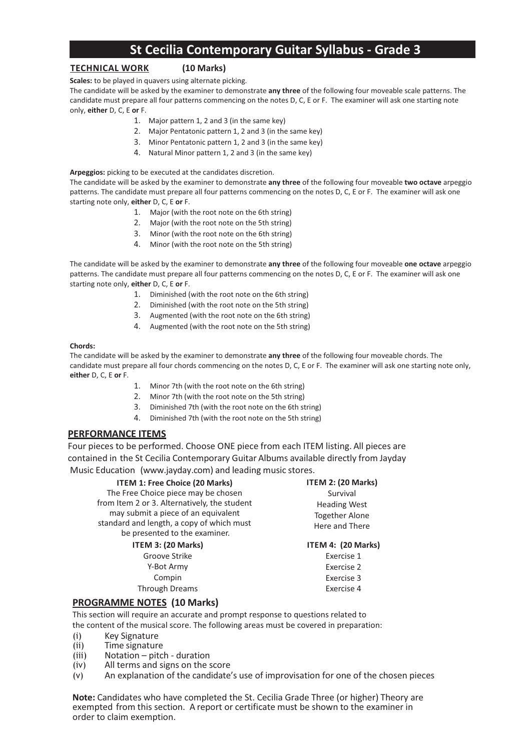### **TECHNICAL WORK (10 Marks)**

**Scales:** to be played in quavers using alternate picking.

The candidate will be asked by the examiner to demonstrate **any three** of the following four moveable scale patterns. The candidate must prepare all four patterns commencing on the notes D, C, E or F. The examiner will ask one starting note only, **either** D, C, E **or** F.

- 1. Major pattern 1, 2 and 3 (in the same key)
	- 2. Major Pentatonic pattern 1, 2 and 3 (in the same key)
- 3. Minor Pentatonic pattern 1, 2 and 3 (in the same key)
- 4. Natural Minor pattern 1, 2 and 3 (in the same key)

**Arpeggios:** picking to be executed at the candidates discretion.

The candidate will be asked by the examiner to demonstrate **any three** of the following four moveable **two octave** arpeggio patterns. The candidate must prepare all four patterns commencing on the notes D, C, E or F. The examiner will ask one starting note only, **either** D, C, E **or** F.

- 1. Major (with the root note on the 6th string)
- 2. Major (with the root note on the 5th string)
- 3. Minor (with the root note on the 6th string)
- 4. Minor (with the root note on the 5th string)

The candidate will be asked by the examiner to demonstrate **any three** of the following four moveable **one octave** arpeggio patterns. The candidate must prepare all four patterns commencing on the notes D, C, E or F. The examiner will ask one starting note only, **either** D, C, E **or** F.

- 1. Diminished (with the root note on the 6th string)
- 2. Diminished (with the root note on the 5th string)
- 3. Augmented (with the root note on the 6th string)
- 4. Augmented (with the root note on the 5th string)

#### **Chords:**

The candidate will be asked by the examiner to demonstrate **any three** of the following four moveable chords. The candidate must prepare all four chords commencing on the notes D, C, E or F. The examiner will ask one starting note only, **either** D, C, E **or** F.

- 1. Minor 7th (with the root note on the 6th string)
- 2. Minor 7th (with the root note on the 5th string)
- 3. Diminished 7th (with the root note on the 6th string)
- 4. Diminished 7th (with the root note on the 5th string)

#### **PERFORMANCE ITEMS**

Four pieces to be performed. Choose ONE piece from each ITEM listing. All pieces are contained in the St Cecilia Contemporary Guitar Albums available directly from Jayday Music Education (www.jayday.com) and leading music stores.

| <b>ITEM 1: Free Choice (20 Marks)</b><br>The Free Choice piece may be chosen<br>from Item 2 or 3. Alternatively, the student<br>may submit a piece of an equivalent<br>standard and length, a copy of which must<br>be presented to the examiner. | ITEM 2: (20 Marks)<br>Survival<br><b>Heading West</b><br><b>Together Alone</b><br>Here and There |
|---------------------------------------------------------------------------------------------------------------------------------------------------------------------------------------------------------------------------------------------------|--------------------------------------------------------------------------------------------------|
| <b>ITEM 3: (20 Marks)</b>                                                                                                                                                                                                                         | ITEM 4: (20 Marks)                                                                               |
| Groove Strike                                                                                                                                                                                                                                     | Exercise 1                                                                                       |
| Y-Bot Army                                                                                                                                                                                                                                        | Exercise 2                                                                                       |
| Compin                                                                                                                                                                                                                                            | Exercise 3                                                                                       |
| <b>Through Dreams</b>                                                                                                                                                                                                                             | Exercise 4                                                                                       |

### **PROGRAMME NOTES (10 Marks)**

This section will require an accurate and prompt response to questions related to the content of the musical score. The following areas must be covered in preparation:

- (i) Key Signature
- (ii) Time signature
- (iii) Notation pitch duration
- (iv) All terms and signs on the score
- (v) An explanation of the candidate's use of improvisation for one of the chosen pieces

**Note:** Candidates who have completed the St. Cecilia Grade Three (or higher) Theory are exempted from this section. A report or certificate must be shown to the examiner in order to claim exemption.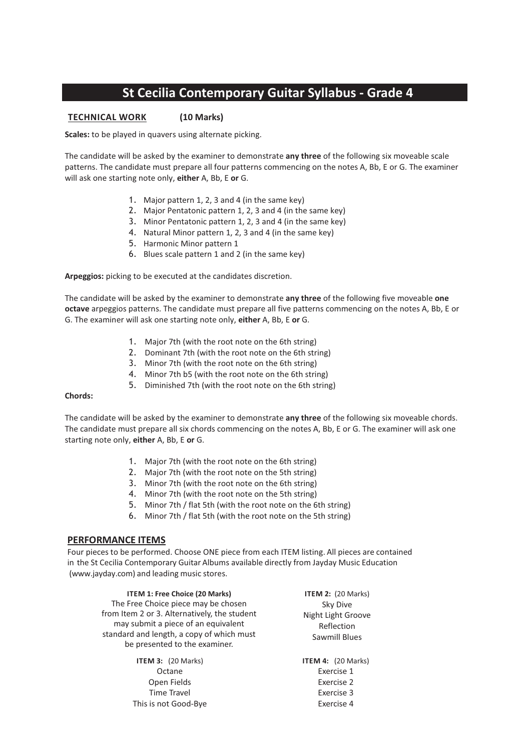# **TECHNICAL WORK (10 Marks)**

**Scales:** to be played in quavers using alternate picking.

The candidate will be asked by the examiner to demonstrate **any three** of the following six moveable scale patterns. The candidate must prepare all four patterns commencing on the notes A, Bb, E or G. The examiner will ask one starting note only, **either** A, Bb, E **or** G.

- 1. Major pattern 1, 2, 3 and 4 (in the same key)
- 2. Major Pentatonic pattern 1, 2, 3 and 4 (in the same key)
- 3. Minor Pentatonic pattern 1, 2, 3 and 4 (in the same key)
- 4. Natural Minor pattern 1, 2, 3 and 4 (in the same key)
- 5. Harmonic Minor pattern 1
- 6. Blues scale pattern 1 and 2 (in the same key)

**Arpeggios:** picking to be executed at the candidates discretion.

The candidate will be asked by the examiner to demonstrate **any three** of the following five moveable **one octave** arpeggios patterns. The candidate must prepare all five patterns commencing on the notes A, Bb, E or G. The examiner will ask one starting note only, **either** A, Bb, E **or** G.

- 1. Major 7th (with the root note on the 6th string)
- 2. Dominant 7th (with the root note on the 6th string)
- 3. Minor 7th (with the root note on the 6th string)
- 4. Minor 7th b5 (with the root note on the 6th string)
- 5. Diminished 7th (with the root note on the 6th string)

#### **Chords:**

The candidate will be asked by the examiner to demonstrate **any three** of the following six moveable chords. The candidate must prepare all six chords commencing on the notes A, Bb, E or G. The examiner will ask one starting note only, **either** A, Bb, E **or** G.

- 1. Major 7th (with the root note on the 6th string)
- 2. Major 7th (with the root note on the 5th string)
- 3. Minor 7th (with the root note on the 6th string)
- 4. Minor 7th (with the root note on the 5th string)
- 5. Minor 7th / flat 5th (with the root note on the 6th string)
- 6. Minor 7th / flat 5th (with the root note on the 5th string)

### **PERFORMANCE ITEMS**

Four pieces to be performed. Choose ONE piece from each ITEM listing. All pieces are contained in the St Cecilia Contemporary Guitar Albums available directly from Jayday Music Education (www.jayday.com) and leading music stores.

**ITEM 1: Free Choice (20 Marks)** The Free Choice piece may be chosen from Item 2 or 3. Alternatively, the student may submit a piece of an equivalent standard and length, a copy of which must be presented to the examiner.

> **ITEM 3:** (20 Marks) **Octane** Open Fields Time Travel This is not Good-Bye

**ITEM 2:** (20 Marks) Sky Dive Night Light Groove Reflection Sawmill Blues

**ITEM 4:** (20 Marks) Exercise 1 Exercise 2 Exercise 3 Exercise 4